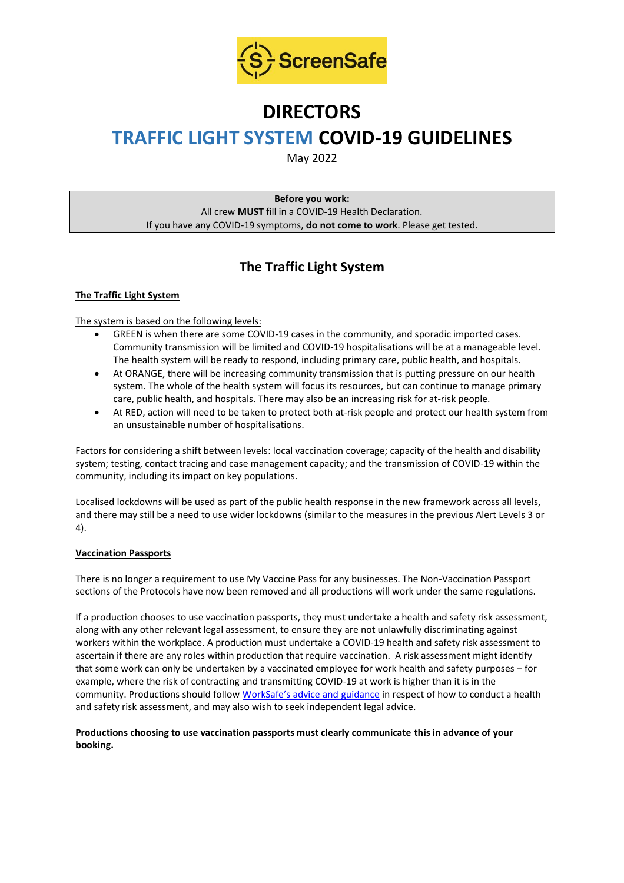

# **DIRECTORS**

## **TRAFFIC LIGHT SYSTEM COVID-19 GUIDELINES**

May 2022

**Before you work:** All crew **MUST** fill in a COVID-19 Health Declaration. If you have any COVID-19 symptoms, **do not come to work**. Please get tested.

## **The Traffic Light System**

#### **The Traffic Light System**

The system is based on the following levels:

- GREEN is when there are some COVID-19 cases in the community, and sporadic imported cases. Community transmission will be limited and COVID-19 hospitalisations will be at a manageable level. The health system will be ready to respond, including primary care, public health, and hospitals.
- At ORANGE, there will be increasing community transmission that is putting pressure on our health system. The whole of the health system will focus its resources, but can continue to manage primary care, public health, and hospitals. There may also be an increasing risk for at-risk people.
- At RED, action will need to be taken to protect both at-risk people and protect our health system from an unsustainable number of hospitalisations.

Factors for considering a shift between levels: local vaccination coverage; capacity of the health and disability system; testing, contact tracing and case management capacity; and the transmission of COVID-19 within the community, including its impact on key populations.

Localised lockdowns will be used as part of the public health response in the new framework across all levels, and there may still be a need to use wider lockdowns (similar to the measures in the previous Alert Levels 3 or 4).

#### **Vaccination Passports**

There is no longer a requirement to use My Vaccine Pass for any businesses. The Non-Vaccination Passport sections of the Protocols have now been removed and all productions will work under the same regulations.

If a production chooses to use vaccination passports, they must undertake a health and safety risk assessment, along with any other relevant legal assessment, to ensure they are not unlawfully discriminating against workers within the workplace. A production must undertake a COVID-19 health and safety risk assessment to ascertain if there are any roles within production that require vaccination. A risk assessment might identify that some work can only be undertaken by a vaccinated employee for work health and safety purposes – for example, where the risk of contracting and transmitting COVID-19 at work is higher than it is in the community. Productions should follow [WorkSafe's advice and guidance](https://www.worksafe.govt.nz/managing-health-and-safety/novel-coronavirus-covid/covid-19-controls-at-work/) in respect of how to conduct a health and safety risk assessment, and may also wish to seek independent legal advice.

#### **Productions choosing to use vaccination passports must clearly communicate this in advance of your booking.**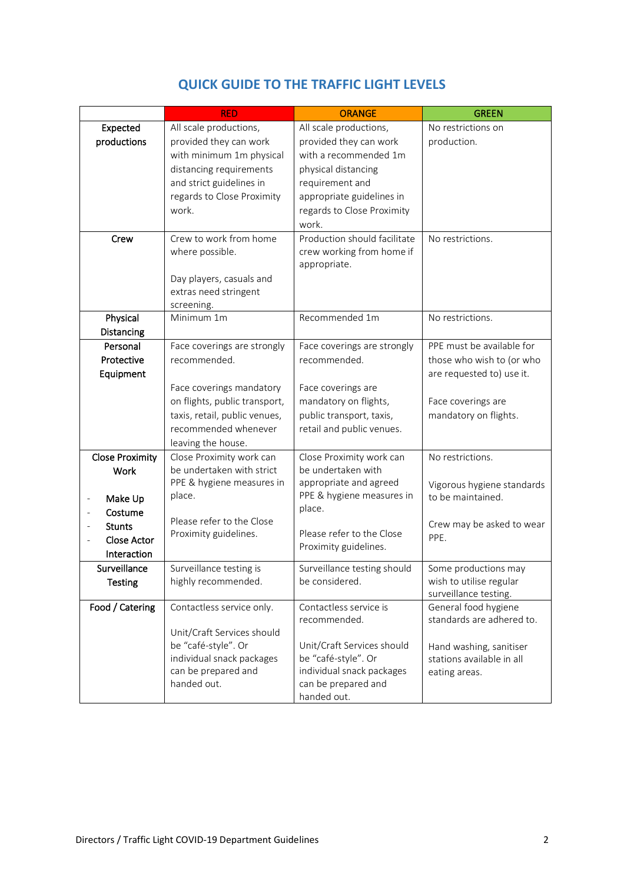|                                             | <b>RED</b>                                                                                                                               | <b>ORANGE</b>                                                                                                        | <b>GREEN</b>                                                             |
|---------------------------------------------|------------------------------------------------------------------------------------------------------------------------------------------|----------------------------------------------------------------------------------------------------------------------|--------------------------------------------------------------------------|
| Expected                                    | All scale productions,                                                                                                                   | All scale productions,                                                                                               | No restrictions on                                                       |
| productions                                 | provided they can work<br>with minimum 1m physical<br>distancing requirements                                                            | provided they can work<br>with a recommended 1m<br>physical distancing                                               | production.                                                              |
|                                             | and strict guidelines in<br>regards to Close Proximity<br>work.                                                                          | requirement and<br>appropriate guidelines in<br>regards to Close Proximity<br>work.                                  |                                                                          |
| Crew                                        | Crew to work from home<br>where possible.<br>Day players, casuals and<br>extras need stringent                                           | Production should facilitate<br>crew working from home if<br>appropriate.                                            | No restrictions.                                                         |
|                                             | screening.                                                                                                                               |                                                                                                                      |                                                                          |
| Physical                                    | Minimum 1m                                                                                                                               | Recommended 1m                                                                                                       | No restrictions.                                                         |
| Distancing                                  |                                                                                                                                          |                                                                                                                      |                                                                          |
| Personal                                    | Face coverings are strongly                                                                                                              | Face coverings are strongly                                                                                          | PPE must be available for                                                |
| Protective<br>Equipment                     | recommended.                                                                                                                             | recommended.                                                                                                         | those who wish to (or who<br>are requested to) use it.                   |
|                                             | Face coverings mandatory<br>on flights, public transport,<br>taxis, retail, public venues,<br>recommended whenever<br>leaving the house. | Face coverings are<br>mandatory on flights,<br>public transport, taxis,<br>retail and public venues.                 | Face coverings are<br>mandatory on flights.                              |
| <b>Close Proximity</b>                      | Close Proximity work can                                                                                                                 | Close Proximity work can                                                                                             | No restrictions.                                                         |
| Work                                        | be undertaken with strict                                                                                                                | be undertaken with                                                                                                   |                                                                          |
|                                             | PPE & hygiene measures in                                                                                                                | appropriate and agreed                                                                                               | Vigorous hygiene standards                                               |
| Make Up<br>Costume                          | place.                                                                                                                                   | PPE & hygiene measures in<br>place.                                                                                  | to be maintained.                                                        |
| <b>Stunts</b><br>Close Actor<br>Interaction | Please refer to the Close<br>Proximity guidelines.                                                                                       | Please refer to the Close<br>Proximity guidelines.                                                                   | Crew may be asked to wear<br>PPE.                                        |
| Surveillance<br><b>Testing</b>              | Surveillance testing is<br>highly recommended.                                                                                           | Surveillance testing should<br>be considered.                                                                        | Some productions may<br>wish to utilise regular<br>surveillance testing. |
| Food / Catering                             | Contactless service only.<br>Unit/Craft Services should                                                                                  | Contactless service is<br>recommended.                                                                               | General food hygiene<br>standards are adhered to.                        |
|                                             | be "café-style". Or<br>individual snack packages<br>can be prepared and<br>handed out.                                                   | Unit/Craft Services should<br>be "café-style". Or<br>individual snack packages<br>can be prepared and<br>handed out. | Hand washing, sanitiser<br>stations available in all<br>eating areas.    |

### **QUICK GUIDE TO THE TRAFFIC LIGHT LEVELS**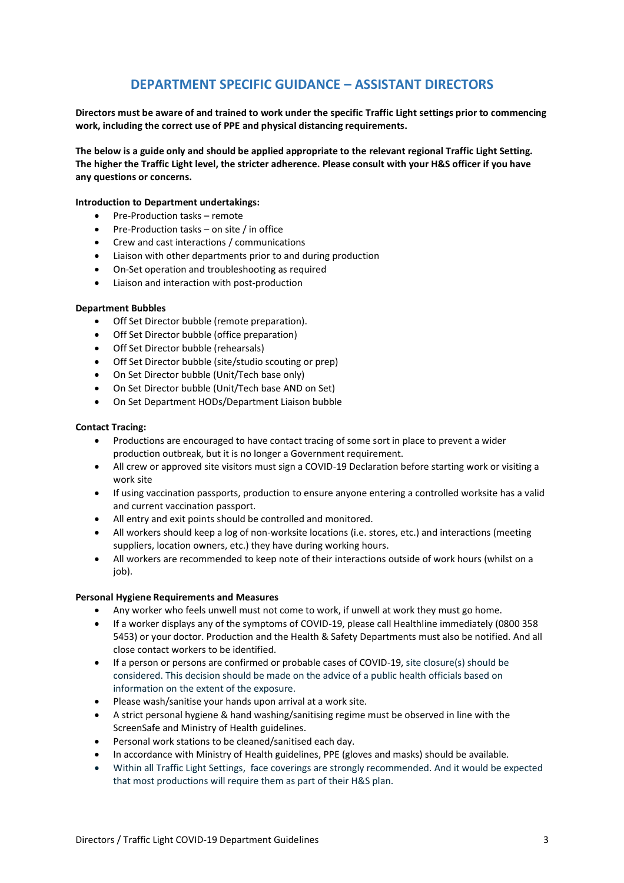### **DEPARTMENT SPECIFIC GUIDANCE – ASSISTANT DIRECTORS**

**Directors must be aware of and trained to work under the specific Traffic Light settings prior to commencing work, including the correct use of PPE and physical distancing requirements.**

**The below is a guide only and should be applied appropriate to the relevant regional Traffic Light Setting. The higher the Traffic Light level, the stricter adherence. Please consult with your H&S officer if you have any questions or concerns.**

#### **Introduction to Department undertakings:**

- Pre-Production tasks remote
- Pre-Production tasks on site / in office
- Crew and cast interactions / communications
- Liaison with other departments prior to and during production
- On-Set operation and troubleshooting as required
- Liaison and interaction with post-production

#### **Department Bubbles**

- Off Set Director bubble (remote preparation).
- Off Set Director bubble (office preparation)
- Off Set Director bubble (rehearsals)
- Off Set Director bubble (site/studio scouting or prep)
- On Set Director bubble (Unit/Tech base only)
- On Set Director bubble (Unit/Tech base AND on Set)
- On Set Department HODs/Department Liaison bubble

#### **Contact Tracing:**

- Productions are encouraged to have contact tracing of some sort in place to prevent a wider production outbreak, but it is no longer a Government requirement.
- All crew or approved site visitors must sign a COVID-19 Declaration before starting work or visiting a work site
- If using vaccination passports, production to ensure anyone entering a controlled worksite has a valid and current vaccination passport.
- All entry and exit points should be controlled and monitored.
- All workers should keep a log of non-worksite locations (i.e. stores, etc.) and interactions (meeting suppliers, location owners, etc.) they have during working hours.
- All workers are recommended to keep note of their interactions outside of work hours (whilst on a job).

#### **Personal Hygiene Requirements and Measures**

- Any worker who feels unwell must not come to work, if unwell at work they must go home.
- If a worker displays any of the symptoms of COVID-19, please call Healthline immediately (0800 358 5453) or your doctor. Production and the Health & Safety Departments must also be notified. And all close contact workers to be identified.
- If a person or persons are confirmed or probable cases of COVID-19, site closure(s) should be considered. This decision should be made on the advice of a public health officials based on information on the extent of the exposure.
- Please wash/sanitise your hands upon arrival at a work site.
- A strict personal hygiene & hand washing/sanitising regime must be observed in line with the ScreenSafe and Ministry of Health guidelines.
- Personal work stations to be cleaned/sanitised each day.
- In accordance with Ministry of Health guidelines, PPE (gloves and masks) should be available.
- Within all Traffic Light Settings, face coverings are strongly recommended. And it would be expected that most productions will require them as part of their H&S plan.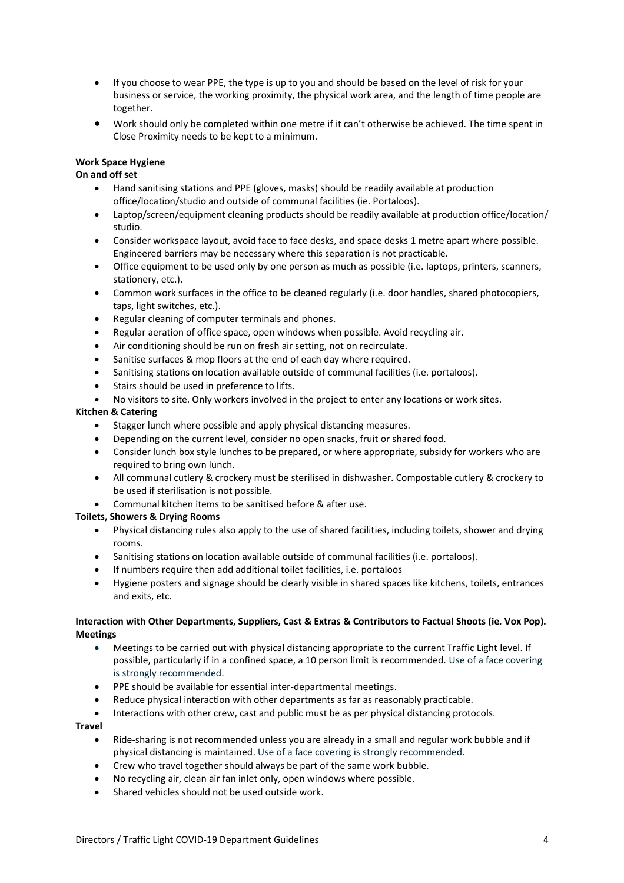- If you choose to wear PPE, the type is up to you and should be based on the level of risk for your business or service, the working proximity, the physical work area, and the length of time people are together.
- Work should only be completed within one metre if it can't otherwise be achieved. The time spent in Close Proximity needs to be kept to a minimum.

#### **Work Space Hygiene**

#### **On and off set**

- Hand sanitising stations and PPE (gloves, masks) should be readily available at production office/location/studio and outside of communal facilities (ie. Portaloos).
- Laptop/screen/equipment cleaning products should be readily available at production office/location/ studio.
- Consider workspace layout, avoid face to face desks, and space desks 1 metre apart where possible. Engineered barriers may be necessary where this separation is not practicable.
- Office equipment to be used only by one person as much as possible (i.e. laptops, printers, scanners, stationery, etc.).
- Common work surfaces in the office to be cleaned regularly (i.e. door handles, shared photocopiers, taps, light switches, etc.).
- Regular cleaning of computer terminals and phones.
- Regular aeration of office space, open windows when possible. Avoid recycling air.
- Air conditioning should be run on fresh air setting, not on recirculate.
- Sanitise surfaces & mop floors at the end of each day where required.
- Sanitising stations on location available outside of communal facilities (i.e. portaloos).
- Stairs should be used in preference to lifts.
- No visitors to site. Only workers involved in the project to enter any locations or work sites.

#### **Kitchen & Catering**

- Stagger lunch where possible and apply physical distancing measures.
- Depending on the current level, consider no open snacks, fruit or shared food.
- Consider lunch box style lunches to be prepared, or where appropriate, subsidy for workers who are required to bring own lunch.
- All communal cutlery & crockery must be sterilised in dishwasher. Compostable cutlery & crockery to be used if sterilisation is not possible.
- Communal kitchen items to be sanitised before & after use.

#### **Toilets, Showers & Drying Rooms**

- Physical distancing rules also apply to the use of shared facilities, including toilets, shower and drying rooms.
- Sanitising stations on location available outside of communal facilities (i.e. portaloos).
- If numbers require then add additional toilet facilities, i.e. portaloos
- Hygiene posters and signage should be clearly visible in shared spaces like kitchens, toilets, entrances and exits, etc.

#### **Interaction with Other Departments, Suppliers, Cast & Extras & Contributors to Factual Shoots (ie. Vox Pop). Meetings**

- Meetings to be carried out with physical distancing appropriate to the current Traffic Light level. If possible, particularly if in a confined space, a 10 person limit is recommended. Use of a face covering is strongly recommended.
- PPE should be available for essential inter-departmental meetings.
- Reduce physical interaction with other departments as far as reasonably practicable.
- Interactions with other crew, cast and public must be as per physical distancing protocols.

#### **Travel**

- Ride-sharing is not recommended unless you are already in a small and regular work bubble and if physical distancing is maintained. Use of a face covering is strongly recommended.
- Crew who travel together should always be part of the same work bubble.
- No recycling air, clean air fan inlet only, open windows where possible.
- Shared vehicles should not be used outside work.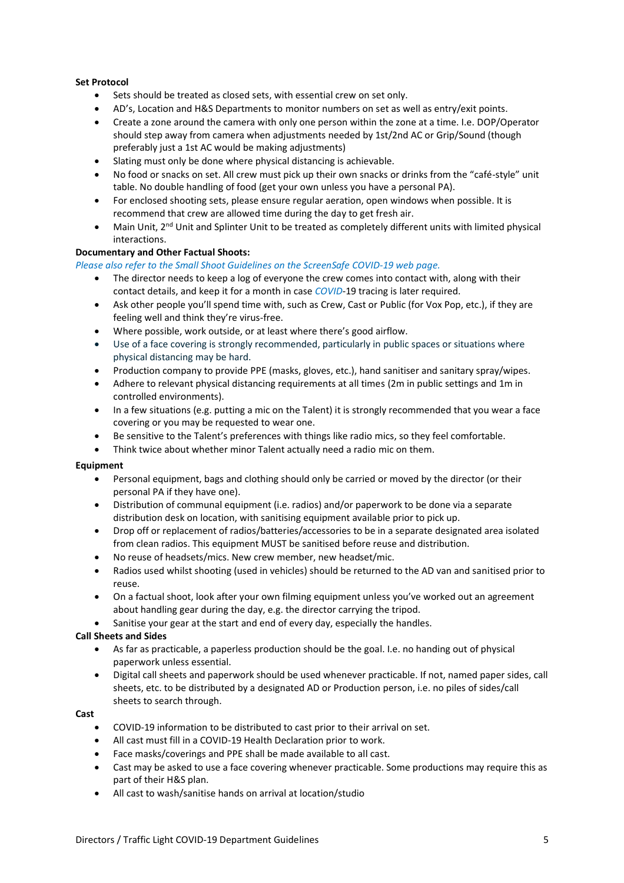#### **Set Protocol**

- Sets should be treated as closed sets, with essential crew on set only.
- AD's, Location and H&S Departments to monitor numbers on set as well as entry/exit points.
- Create a zone around the camera with only one person within the zone at a time. I.e. DOP/Operator should step away from camera when adjustments needed by 1st/2nd AC or Grip/Sound (though preferably just a 1st AC would be making adjustments)
- Slating must only be done where physical distancing is achievable.
- No food or snacks on set. All crew must pick up their own snacks or drinks from the "café-style" unit table. No double handling of food (get your own unless you have a personal PA).
- For enclosed shooting sets, please ensure regular aeration, open windows when possible. It is recommend that crew are allowed time during the day to get fresh air.
- Main Unit, 2<sup>nd</sup> Unit and Splinter Unit to be treated as completely different units with limited physical interactions.

#### **Documentary and Other Factual Shoots:**

*Please also refer to the Small Shoot Guidelines on the ScreenSafe COVID-19 web page.*

- The director needs to keep a log of everyone the crew comes into contact with, along with their contact details, and keep it for a month in case *COVID*-19 tracing is later required.
- Ask other people you'll spend time with, such as Crew, Cast or Public (for Vox Pop, etc.), if they are feeling well and think they're virus-free.
- Where possible, work outside, or at least where there's good airflow.
- Use of a face covering is strongly recommended, particularly in public spaces or situations where physical distancing may be hard.
- Production company to provide PPE (masks, gloves, etc.), hand sanitiser and sanitary spray/wipes.
- Adhere to relevant physical distancing requirements at all times (2m in public settings and 1m in controlled environments).
- In a few situations (e.g. putting a mic on the Talent) it is strongly recommended that you wear a face covering or you may be requested to wear one.
- Be sensitive to the Talent's preferences with things like radio mics, so they feel comfortable.
- Think twice about whether minor Talent actually need a radio mic on them.

#### **Equipment**

- Personal equipment, bags and clothing should only be carried or moved by the director (or their personal PA if they have one).
- Distribution of communal equipment (i.e. radios) and/or paperwork to be done via a separate distribution desk on location, with sanitising equipment available prior to pick up.
- Drop off or replacement of radios/batteries/accessories to be in a separate designated area isolated from clean radios. This equipment MUST be sanitised before reuse and distribution.
- No reuse of headsets/mics. New crew member, new headset/mic.
- Radios used whilst shooting (used in vehicles) should be returned to the AD van and sanitised prior to reuse.
- On a factual shoot, look after your own filming equipment unless you've worked out an agreement about handling gear during the day, e.g. the director carrying the tripod.
- Sanitise your gear at the start and end of every day, especially the handles.

#### **Call Sheets and Sides**

- As far as practicable, a paperless production should be the goal. I.e. no handing out of physical paperwork unless essential.
- Digital call sheets and paperwork should be used whenever practicable. If not, named paper sides, call sheets, etc. to be distributed by a designated AD or Production person, i.e. no piles of sides/call sheets to search through.

#### **Cast**

- COVID-19 information to be distributed to cast prior to their arrival on set.
- All cast must fill in a COVID-19 Health Declaration prior to work.
- Face masks/coverings and PPE shall be made available to all cast.
- Cast may be asked to use a face covering whenever practicable. Some productions may require this as part of their H&S plan.
- All cast to wash/sanitise hands on arrival at location/studio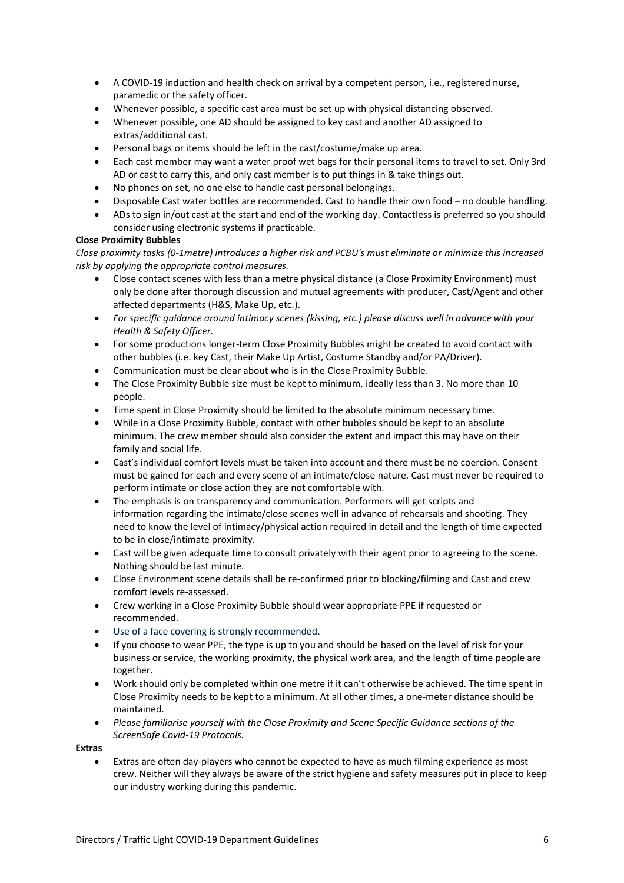- A COVID-19 induction and health check on arrival by a competent person, i.e., registered nurse, paramedic or the safety officer.
- Whenever possible, a specific cast area must be set up with physical distancing observed.
- Whenever possible, one AD should be assigned to key cast and another AD assigned to extras/additional cast.
- Personal bags or items should be left in the cast/costume/make up area.
- Each cast member may want a water proof wet bags for their personal items to travel to set. Only 3rd AD or cast to carry this, and only cast member is to put things in & take things out.
- No phones on set, no one else to handle cast personal belongings.
- Disposable Cast water bottles are recommended. Cast to handle their own food no double handling.
- ADs to sign in/out cast at the start and end of the working day. Contactless is preferred so you should consider using electronic systems if practicable.

#### **Close Proximity Bubbles**

*Close proximity tasks (0-1metre) introduces a higher risk and PCBU's must eliminate or minimize this increased risk by applying the appropriate control measures.* 

- Close contact scenes with less than a metre physical distance (a Close Proximity Environment) must only be done after thorough discussion and mutual agreements with producer, Cast/Agent and other affected departments (H&S, Make Up, etc.).
- *For specific guidance around intimacy scenes (kissing, etc.) please discuss well in advance with your Health & Safety Officer.*
- For some productions longer-term Close Proximity Bubbles might be created to avoid contact with other bubbles (i.e. key Cast, their Make Up Artist, Costume Standby and/or PA/Driver).
- Communication must be clear about who is in the Close Proximity Bubble.
- The Close Proximity Bubble size must be kept to minimum, ideally less than 3. No more than 10 people.
- Time spent in Close Proximity should be limited to the absolute minimum necessary time.
- While in a Close Proximity Bubble, contact with other bubbles should be kept to an absolute minimum. The crew member should also consider the extent and impact this may have on their family and social life.
- Cast's individual comfort levels must be taken into account and there must be no coercion. Consent must be gained for each and every scene of an intimate/close nature. Cast must never be required to perform intimate or close action they are not comfortable with.
- The emphasis is on transparency and communication. Performers will get scripts and information regarding the intimate/close scenes well in advance of rehearsals and shooting. They need to know the level of intimacy/physical action required in detail and the length of time expected to be in close/intimate proximity.
- Cast will be given adequate time to consult privately with their agent prior to agreeing to the scene. Nothing should be last minute.
- Close Environment scene details shall be re-confirmed prior to blocking/filming and Cast and crew comfort levels re-assessed.
- Crew working in a Close Proximity Bubble should wear appropriate PPE if requested or recommended.
- Use of a face covering is strongly recommended.
- If you choose to wear PPE, the type is up to you and should be based on the level of risk for your business or service, the working proximity, the physical work area, and the length of time people are together.
- Work should only be completed within one metre if it can't otherwise be achieved. The time spent in Close Proximity needs to be kept to a minimum. At all other times, a one-meter distance should be maintained.
- *Please familiarise yourself with the Close Proximity and Scene Specific Guidance sections of the ScreenSafe Covid-19 Protocols.*

**Extras**

• Extras are often day-players who cannot be expected to have as much filming experience as most crew. Neither will they always be aware of the strict hygiene and safety measures put in place to keep our industry working during this pandemic.